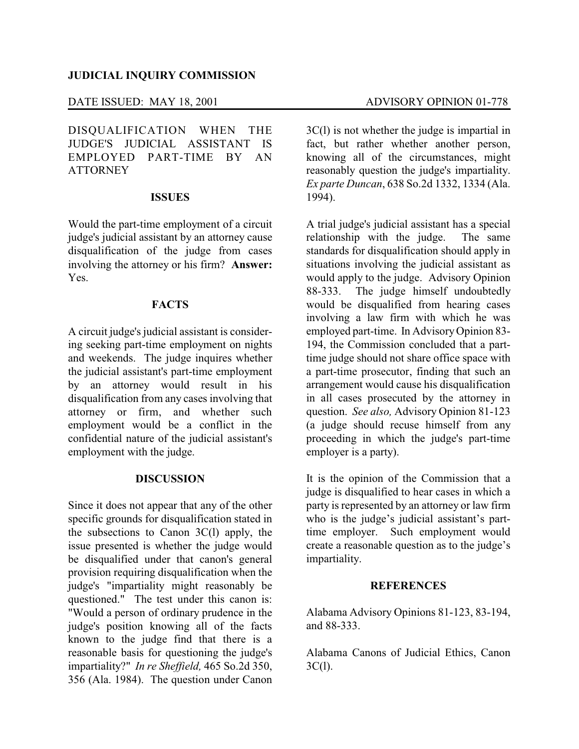## DATE ISSUED: MAY 18, 2001 ADVISORY OPINION 01-778

DISQUALIFICATION WHEN THE JUDGE'S JUDICIAL ASSISTANT IS EMPLOYED PART-TIME BY AN **ATTORNEY** 

## **ISSUES**

Would the part-time employment of a circuit judge's judicial assistant by an attorney cause disqualification of the judge from cases involving the attorney or his firm? **Answer:** Yes.

### **FACTS**

A circuit judge's judicial assistant is considering seeking part-time employment on nights and weekends. The judge inquires whether the judicial assistant's part-time employment by an attorney would result in his disqualification from any cases involving that attorney or firm, and whether such employment would be a conflict in the confidential nature of the judicial assistant's employment with the judge.

# **DISCUSSION**

Since it does not appear that any of the other specific grounds for disqualification stated in the subsections to Canon 3C(l) apply, the issue presented is whether the judge would be disqualified under that canon's general provision requiring disqualification when the judge's "impartiality might reasonably be questioned." The test under this canon is: "Would a person of ordinary prudence in the judge's position knowing all of the facts known to the judge find that there is a reasonable basis for questioning the judge's impartiality?" *In re Sheffield,* 465 So.2d 350, 356 (Ala. 1984). The question under Canon

3C(l) is not whether the judge is impartial in fact, but rather whether another person, knowing all of the circumstances, might reasonably question the judge's impartiality. *Ex parte Duncan*, 638 So.2d 1332, 1334 (Ala. 1994).

A trial judge's judicial assistant has a special relationship with the judge. The same standards for disqualification should apply in situations involving the judicial assistant as would apply to the judge. Advisory Opinion 88-333. The judge himself undoubtedly would be disqualified from hearing cases involving a law firm with which he was employed part-time. In AdvisoryOpinion 83- 194, the Commission concluded that a parttime judge should not share office space with a part-time prosecutor, finding that such an arrangement would cause his disqualification in all cases prosecuted by the attorney in question. *See also,* Advisory Opinion 81-123 (a judge should recuse himself from any proceeding in which the judge's part-time employer is a party).

It is the opinion of the Commission that a judge is disqualified to hear cases in which a party is represented by an attorney or law firm who is the judge's judicial assistant's parttime employer. Such employment would create a reasonable question as to the judge's impartiality.

#### **REFERENCES**

Alabama Advisory Opinions 81-123, 83-194, and 88-333.

Alabama Canons of Judicial Ethics, Canon  $3C(1)$ .